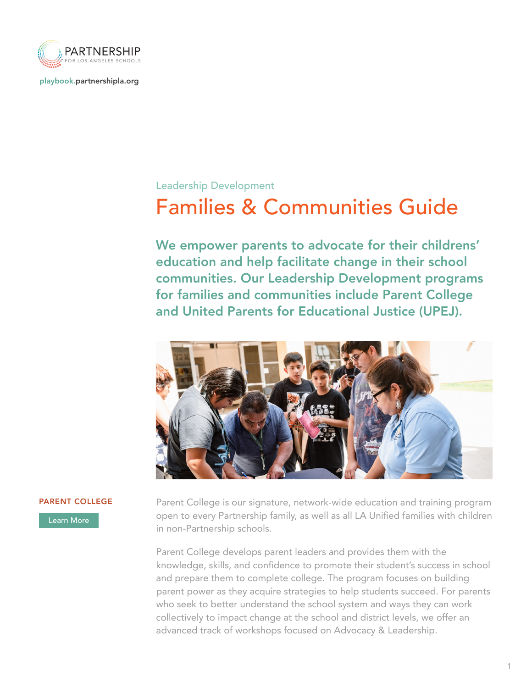

[playbook.partnershipla.org](http://playbook.partnershipla.org)

## Leadership Development

## Families & Communities Guide

We empower parents to advocate for their childrens' education and help facilitate change in their school communities. Our Leadership Development programs for families and communities include Parent College and United Parents for Educational Justice (UPEJ).



[Learn More](https://playbook.partnershipla.org/family-engagement/)

**PARENT COLLEGE** Parent College is our signature, network-wide education and training program open to every Partnership family, as well as all LA Unified families with children in non-Partnership schools.

> Parent College develops parent leaders and provides them with the knowledge, skills, and confidence to promote their student's success in school and prepare them to complete college. The program focuses on building parent power as they acquire strategies to help students succeed. For parents who seek to better understand the school system and ways they can work collectively to impact change at the school and district levels, we offer an advanced track of workshops focused on Advocacy & Leadership.